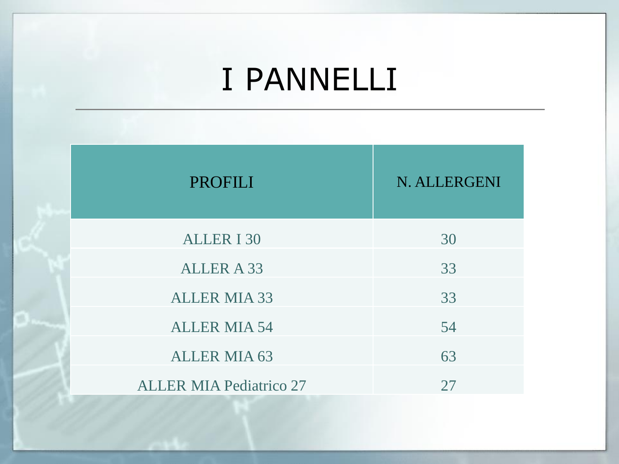| <b>PROFILI</b>                 | N. ALLERGENI |
|--------------------------------|--------------|
| <b>ALLER I 30</b>              | 30           |
| <b>ALLER A 33</b>              | 33           |
| <b>ALLER MIA 33</b>            | 33           |
| <b>ALLER MIA 54</b>            | 54           |
| <b>ALLER MIA 63</b>            | 63           |
| <b>ALLER MIA Pediatrico 27</b> | 27           |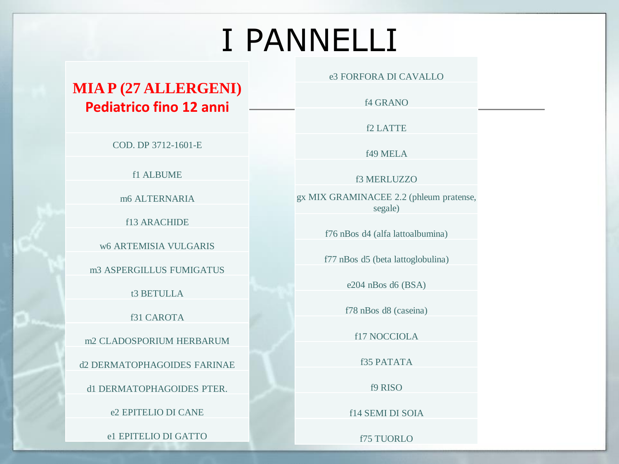#### **MIA P (27 ALLERGENI) Pediatrico fino 12 anni**

COD. DP 3712-1601-E

f1 ALBUME

m6 ALTERNARIA

f13 ARACHIDE

w6 ARTEMISIA VULGARIS

m3 ASPERGILLUS FUMIGATUS

t3 BETULLA

f31 CAROTA

m2 CLADOSPORIUM HERBARUM

d2 DERMATOPHAGOIDES FARINAE

d1 DERMATOPHAGOIDES PTER.

e2 EPITELIO DI CANE

e1 EPITELIO DI GATTO

e3 FORFORA DI CAVALLO

f4 GRANO

f2 LATTE

f49 MELA

f3 MERLUZZO

gx MIX GRAMINACEE 2.2 (phleum pratense, segale)

f76 nBos d4 (alfa lattoalbumina)

f77 nBos d5 (beta lattoglobulina)

e204 nBos d6 (BSA)

f78 nBos d8 (caseina)

f17 NOCCIOLA

f35 PATATA

f9 RISO

f14 SEMI DI SOIA

f75 TUORLO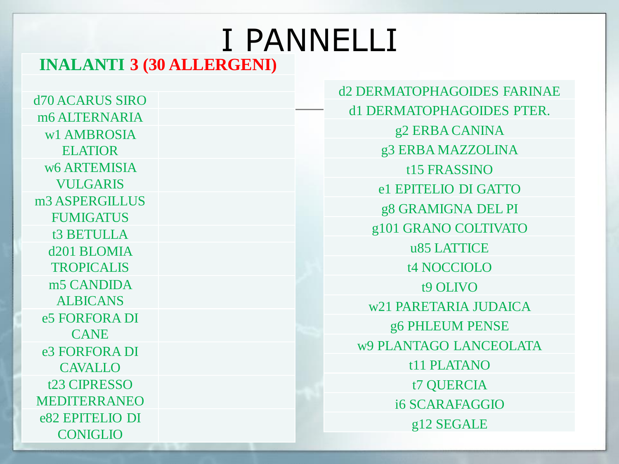### I PANNELLI **INALANTI 3 (30 ALLERGENI)**

**d70 ACARUS SIRO** m6 ALTERNARIA w1 AMBROSIA **ELATIOR** w6 ARTEMISIA **VULGARIS** m<sub>3</sub> ASPERGILLUS **FUMIGATUS** t3 BETULLA d<sub>201</sub> BLOMIA **TROPICALIS** m<sub>5</sub> CANDIDA **ALBICANS** e5 FORFORA DI **CANE** e<sub>3</sub> FORFORA DI **CAVALLO** t<sub>23</sub> CIPRESSO **MEDITERRANEO** e82 EPITELIO DI **CONIGLIO** 

**d2 DERMATOPHAGOIDES FARINAE** d1 DERMATOPHAGOIDES PTER. g2 ERBA CANINA g3 ERBA MAZZOLINA t15 FRASSINO e1 EPITELIO DI GATTO g8 GRAMIGNA DEL PI g101 GRANO COLTIVATO u85 LATTICE **t4 NOCCIOLO t9 OLIVO** w21 PARETARIA JUDAICA g6 PHLEUM PENSE w9 PLANTAGO LANCEOLATA t<sub>11</sub> PLATANO t7 QUERCIA **i6 SCARAFAGGIO** g12 SEGALE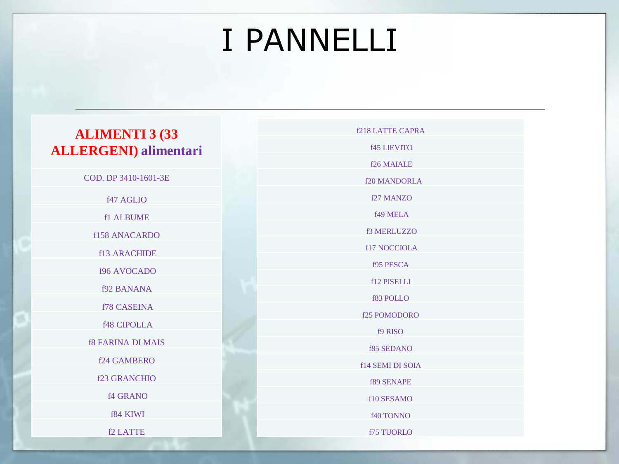#### **ALIMENTI 3 (33 ALLERGENI) alimentari**

COD. DP 3410-1601-3E f47 AGLIO f1 ALBUME f158 ANACARDO f13 ARACHIDE f96 AVOCADO f92 BANANA f78 CASEINA f48 CIPOLLA f8 FARINA DI MAIS f24 GAMBERO f23 GRANCHIO f4 GRANO f84 KIWI f2 LATTE

f218 LATTE CAPRA f45 LIEVITO f26 MAIALE f20 MANDORLA f27 MANZO f49 MELA f3 MERLUZZO f17 NOCCIOLA f95 PESCA f12 PISELLI f83 POLLO f25 POMODORO f9 RISO f85 SEDANO f14 SEMI DI SOIA f89 SENAPE f10 SESAMO f40 TONNO

f75 TUORLO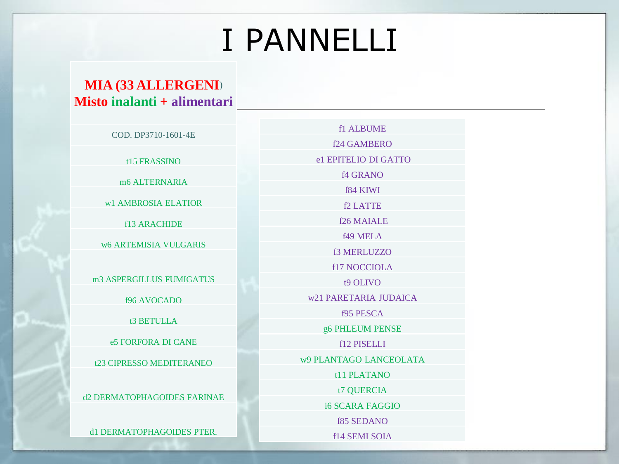#### **MIA (33 ALLERGENI)** Misto inalanti + alimentari

COD. DP3710-1601-4E

t15 FRASSINO

m6 ALTERNARIA

w1 AMBROSIA ELATIOR

**f13 ARACHIDE** 

**w6 ARTEMISIA VULGARIS** 

m3 ASPERGILLUS FUMIGATUS

f96 AVOCADO

t3 BETULLA

e5 FORFORA DI CANE

t23 CIPRESSO MEDITERANEO

**d2 DERMATOPHAGOIDES FARINAE** 

d1 DERMATOPHAGOIDES PTER.

f1 ALBUME f24 GAMBERO el EPITELIO DI GATTO **f4 GRANO f84 KIWI** f<sub>2</sub> LATTE f<sub>26</sub> MAIALE **f49 MELA** f3 MERLUZZO **f17 NOCCIOLA** t9 OLIVO w21 PARETARIA JUDAICA **f95 PESCA** g6 PHLEUM PENSE f12 PISELLI w9 PLANTAGO LANCEOLATA t11 PLATANO t7 OUERCIA **16 SCARA FAGGIO f85 SEDANO** f14 SEMI SOIA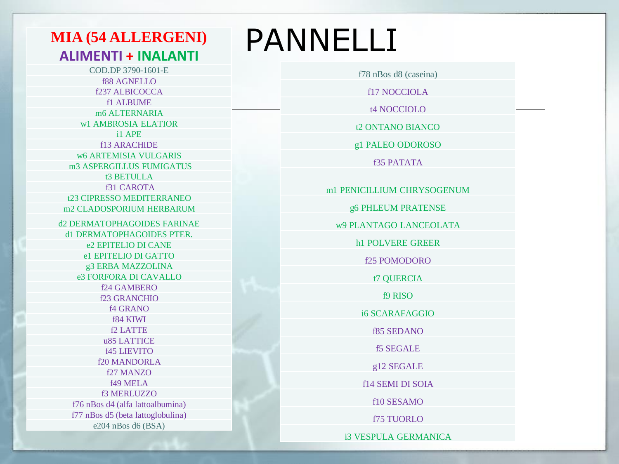### **MIA (54 ALLERGENI) ALIMENTI + INALANTI**

COD.DP 3790-1601-E **f88 AGNELLO** f237 ALBICOCCA f1 ALBUME m6 ALTERNARIA w1 AMBROSIA ELATIOR i1 APE f13 ARACHIDE **w6 ARTEMISIA VULGARIS** m3 ASPERGILLUS FUMIGATUS t3 BETULLA **f31 CAROTA** t23 CIPRESSO MEDITERRANEO m<sub>2</sub> CLADOSPORIUM HERBARUM **d2 DERMATOPHAGOIDES FARINAE** d1 DERMATOPHAGOIDES PTER. e2 EPITELIO DI CANE el EPITELIO DI GATTO g3 ERBA MAZZOLINA e3 FORFORA DI CAVALLO f24 GAMBERO **f23 GRANCHIO f4 GRANO** f84 KIWI f2 LATTE u85 LATTICE **f45 LIEVITO f20 MANDORLA** f27 MANZO **f49 MELA** f3 MERLUZZO f76 nBos d4 (alfa lattoalbumina) f77 nBos d5 (beta lattoglobulina) e204 nBos d6 (BSA)

## **PANNELLI**

f78 nBos d8 (caseina)

**f17 NOCCIOLA** 

t4 NOCCIOLO

t2 ONTANO BIANCO

g1 PALEO ODOROSO

**f35 PATATA** 

m1 PENICILLIUM CHRYSOGENUM

g6 PHLEUM PRATENSE

w9 PLANTAGO LANCEOLATA

**h1 POLVERE GREER** 

**f25 POMODORO** 

t7 OUERCIA

**f9 RISO** 

**i6 SCARAFAGGIO** 

**f85 SEDANO** 

**f5 SEGALE** 

g12 SEGALE

**f14 SEMI DI SOIA** 

f10 SESAMO

**f75 TUORLO** 

**i3 VESPULA GERMANICA**